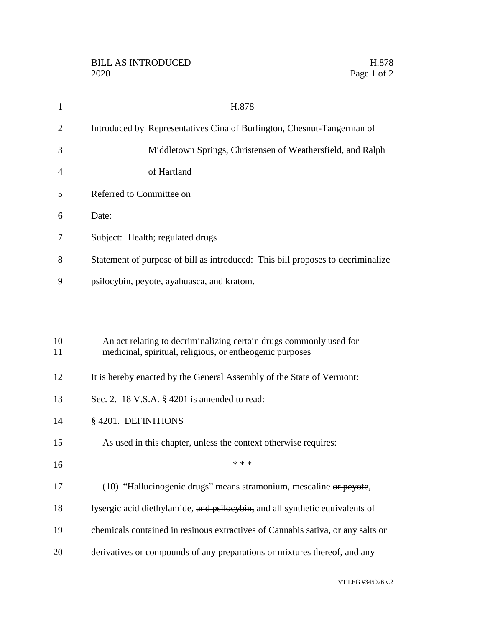| $\mathbf{1}$   | H.878                                                                                                                          |
|----------------|--------------------------------------------------------------------------------------------------------------------------------|
| 2              | Introduced by Representatives Cina of Burlington, Chesnut-Tangerman of                                                         |
| 3              | Middletown Springs, Christensen of Weathersfield, and Ralph                                                                    |
| $\overline{4}$ | of Hartland                                                                                                                    |
| 5              | Referred to Committee on                                                                                                       |
| 6              | Date:                                                                                                                          |
| 7              | Subject: Health; regulated drugs                                                                                               |
| 8              | Statement of purpose of bill as introduced: This bill proposes to decriminalize                                                |
| 9              | psilocybin, peyote, ayahuasca, and kratom.                                                                                     |
|                |                                                                                                                                |
| 10<br>11       | An act relating to decriminalizing certain drugs commonly used for<br>medicinal, spiritual, religious, or entheogenic purposes |
| 12             | It is hereby enacted by the General Assembly of the State of Vermont:                                                          |
| 13             | Sec. 2. 18 V.S.A. § 4201 is amended to read:                                                                                   |
| 14             | §4201. DEFINITIONS                                                                                                             |
| 15             | As used in this chapter, unless the context otherwise requires:                                                                |
| 16             | * * *                                                                                                                          |
| 17             | (10) "Hallucinogenic drugs" means stramonium, mescaline or peyote,                                                             |
| 18             | lysergic acid diethylamide, and psilocybin, and all synthetic equivalents of                                                   |
| 19             | chemicals contained in resinous extractives of Cannabis sativa, or any salts or                                                |

derivatives or compounds of any preparations or mixtures thereof, and any